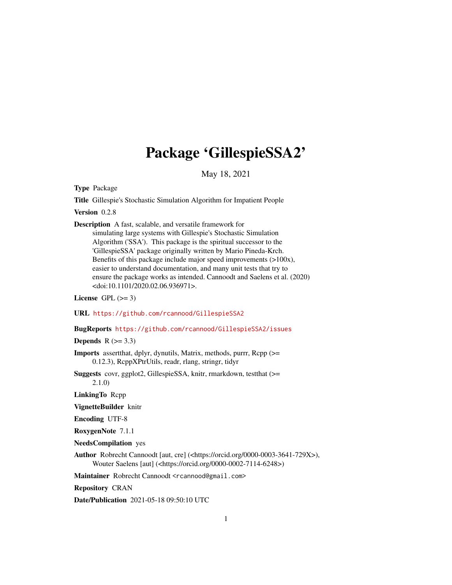# Package 'GillespieSSA2'

May 18, 2021

<span id="page-0-0"></span>Type Package

Title Gillespie's Stochastic Simulation Algorithm for Impatient People

Version 0.2.8

Description A fast, scalable, and versatile framework for simulating large systems with Gillespie's Stochastic Simulation Algorithm ('SSA'). This package is the spiritual successor to the 'GillespieSSA' package originally written by Mario Pineda-Krch. Benefits of this package include major speed improvements (>100x), easier to understand documentation, and many unit tests that try to ensure the package works as intended. Cannoodt and Saelens et al. (2020) <doi:10.1101/2020.02.06.936971>.

License GPL  $(>= 3)$ 

URL <https://github.com/rcannood/GillespieSSA2>

BugReports <https://github.com/rcannood/GillespieSSA2/issues>

**Depends**  $R$  ( $>= 3.3$ )

Imports assertthat, dplyr, dynutils, Matrix, methods, purrr, Rcpp (>= 0.12.3), RcppXPtrUtils, readr, rlang, stringr, tidyr

Suggests covr, ggplot2, GillespieSSA, knitr, rmarkdown, testthat (>= 2.1.0)

LinkingTo Rcpp

VignetteBuilder knitr

Encoding UTF-8

RoxygenNote 7.1.1

NeedsCompilation yes

Author Robrecht Cannoodt [aut, cre] (<https://orcid.org/0000-0003-3641-729X>), Wouter Saelens [aut] (<https://orcid.org/0000-0002-7114-6248>)

Maintainer Robrecht Cannoodt <rcannood@gmail.com>

Repository CRAN

Date/Publication 2021-05-18 09:50:10 UTC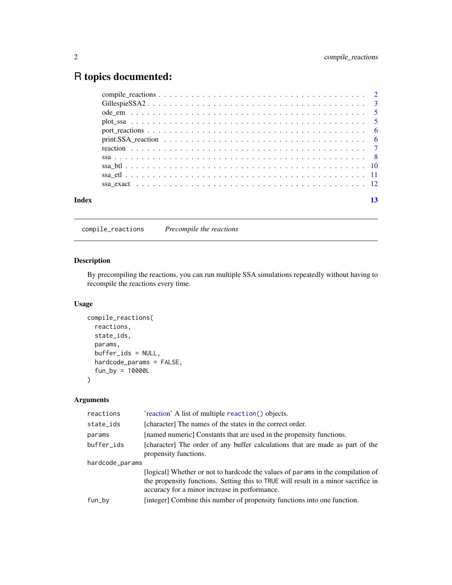## <span id="page-1-0"></span>R topics documented:

| Index | 13 |
|-------|----|
|       |    |

<span id="page-1-1"></span>compile\_reactions *Precompile the reactions*

## Description

By precompiling the reactions, you can run multiple SSA simulations repeatedly without having to recompile the reactions every time.

#### Usage

```
compile_reactions(
 reactions,
 state_ids,
 params,
 buffer_ids = NULL,
 hardcode_params = FALSE,
 fun_by = 10000L
)
```

| reactions       | 'reaction' A list of multiple reaction() objects.                                                                                                                                                                      |  |
|-----------------|------------------------------------------------------------------------------------------------------------------------------------------------------------------------------------------------------------------------|--|
| state_ids       | [character] The names of the states in the correct order.                                                                                                                                                              |  |
| params          | [named numeric] Constants that are used in the propensity functions.                                                                                                                                                   |  |
| buffer_ids      | [character] The order of any buffer calculations that are made as part of the<br>propensity functions.                                                                                                                 |  |
| hardcode_params |                                                                                                                                                                                                                        |  |
|                 | [logical] Whether or not to hardcode the values of params in the compilation of<br>the propensity functions. Setting this to TRUE will result in a minor sacrifice in<br>accuracy for a minor increase in performance. |  |
| fun_by          | [integer] Combine this number of propensity functions into one function.                                                                                                                                               |  |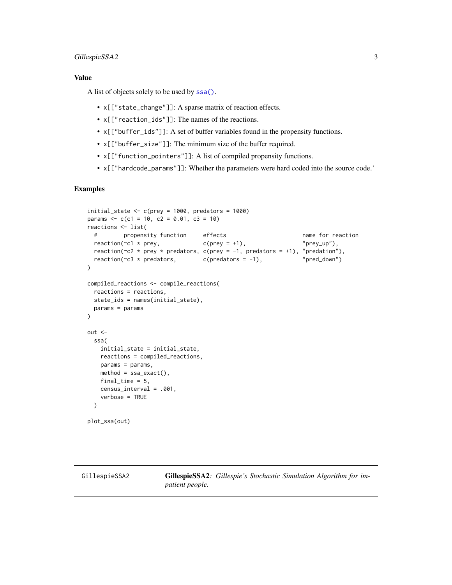#### <span id="page-2-0"></span>GillespieSSA2 3

#### Value

A list of objects solely to be used by [ssa\(\)](#page-7-1).

- x[["state\_change"]]: A sparse matrix of reaction effects.
- x[["reaction\_ids"]]: The names of the reactions.
- x[["buffer\_ids"]]: A set of buffer variables found in the propensity functions.
- x[["buffer\_size"]]: The minimum size of the buffer required.
- x[["function\_pointers"]]: A list of compiled propensity functions.
- x[["hardcode\_params"]]: Whether the parameters were hard coded into the source code.'

#### Examples

```
initial_state <- c(prey = 1000, predators = 1000)
params <-c(c1 = 10, c2 = 0.01, c3 = 10)reactions <- list(
 # propensity function effects name for reaction
 reaction(\sim c1 \times prey, c(prey = +1), "prey_up"),
 reaction(\simc2 * prey * predators, c(prey = -1, predators = +1), "predation"),
 reaction(-c3 * predators, c(predators = -1), "pred_down")
\mathcal{L}compiled_reactions <- compile_reactions(
 reactions = reactions,
 state_ids = names(initial_state),
 params = params
\lambdaout <-
 ssa(
   initial_state = initial_state,
   reactions = compiled_reactions,
   params = params,
   method = ssa_exact(),
   final_time = 5,
   census_interval = .001,
   verbose = TRUE
 )
plot_ssa(out)
```
<span id="page-2-1"></span>GillespieSSA2 GillespieSSA2*: Gillespie's Stochastic Simulation Algorithm for impatient people.*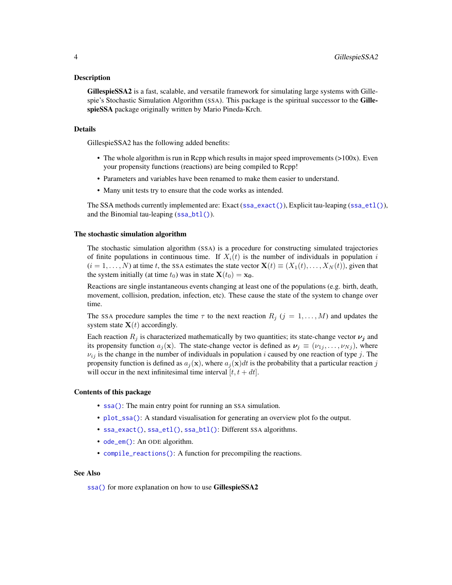<span id="page-3-0"></span>GillespieSSA2 is a fast, scalable, and versatile framework for simulating large systems with Gillespie's Stochastic Simulation Algorithm (SSA). This package is the spiritual successor to the GillespieSSA package originally written by Mario Pineda-Krch.

#### Details

GillespieSSA2 has the following added benefits:

- The whole algorithm is run in Rcpp which results in major speed improvements (>100x). Even your propensity functions (reactions) are being compiled to Rcpp!
- Parameters and variables have been renamed to make them easier to understand.
- Many unit tests try to ensure that the code works as intended.

The SSA methods currently implemented are: Exact ([ssa\\_exact\(\)](#page-11-1)), Explicit tau-leaping (ssa\_et1()), and the Binomial tau-leaping ([ssa\\_btl\(\)](#page-9-1)).

#### The stochastic simulation algorithm

The stochastic simulation algorithm (SSA) is a procedure for constructing simulated trajectories of finite populations in continuous time. If  $X_i(t)$  is the number of individuals in population i  $(i = 1, \ldots, N)$  at time t, the SSA estimates the state vector  $\mathbf{X}(t) \equiv (X_1(t), \ldots, X_N(t))$ , given that the system initially (at time  $t_0$ ) was in state  $\mathbf{X}(t_0) = \mathbf{x_0}$ .

Reactions are single instantaneous events changing at least one of the populations (e.g. birth, death, movement, collision, predation, infection, etc). These cause the state of the system to change over time.

The SSA procedure samples the time  $\tau$  to the next reaction  $R_j$  ( $j = 1, \ldots, M$ ) and updates the system state  $X(t)$  accordingly.

Each reaction  $R_i$  is characterized mathematically by two quantities; its state-change vector  $\nu_j$  and its propensity function  $a_j(\mathbf{x})$ . The state-change vector is defined as  $\mathbf{v}_j \equiv (v_{1j}, \dots, v_{Nj})$ , where  $\nu_{ij}$  is the change in the number of individuals in population i caused by one reaction of type j. The propensity function is defined as  $a_j(\mathbf{x})$ , where  $a_j(\mathbf{x})dt$  is the probability that a particular reaction j will occur in the next infinitesimal time interval  $[t, t + dt]$ .

#### Contents of this package

- [ssa\(\)](#page-7-1): The main entry point for running an SSA simulation.
- [plot\\_ssa\(\)](#page-4-1): A standard visualisation for generating an overview plot fo the output.
- [ssa\\_exact\(\)](#page-11-1), [ssa\\_etl\(\)](#page-10-1), [ssa\\_btl\(\)](#page-9-1): Different SSA algorithms.
- [ode\\_em\(\)](#page-4-2): An ODE algorithm.
- [compile\\_reactions\(\)](#page-1-1): A function for precompiling the reactions.

#### See Also

[ssa\(\)](#page-7-1) for more explanation on how to use GillespieSSA2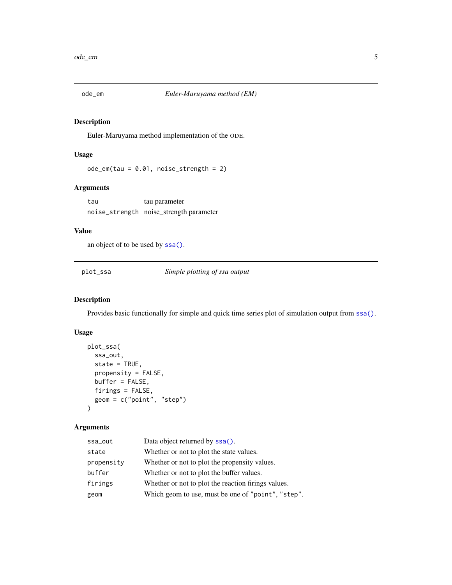<span id="page-4-2"></span><span id="page-4-0"></span>

Euler-Maruyama method implementation of the ODE.

#### Usage

 $ode\_em(tau = 0.01, noise\_strength = 2)$ 

#### Arguments

tau tau parameter noise\_strength noise\_strength parameter

#### Value

an object of to be used by [ssa\(\)](#page-7-1).

<span id="page-4-1"></span>plot\_ssa *Simple plotting of ssa output*

#### Description

Provides basic functionally for simple and quick time series plot of simulation output from [ssa\(\)](#page-7-1).

#### Usage

```
plot_ssa(
  ssa_out,
  state = TRUE,
  propensity = FALSE,
  buffer = FALSE,
  firings = FALSE,
  geom = c("point", "step")
\mathcal{L}
```

| ssa_out    | Data object returned by ssa().                      |
|------------|-----------------------------------------------------|
| state      | Whether or not to plot the state values.            |
| propensity | Whether or not to plot the propensity values.       |
| buffer     | Whether or not to plot the buffer values.           |
| firings    | Whether or not to plot the reaction firings values. |
| geom       | Which geom to use, must be one of "point", "step".  |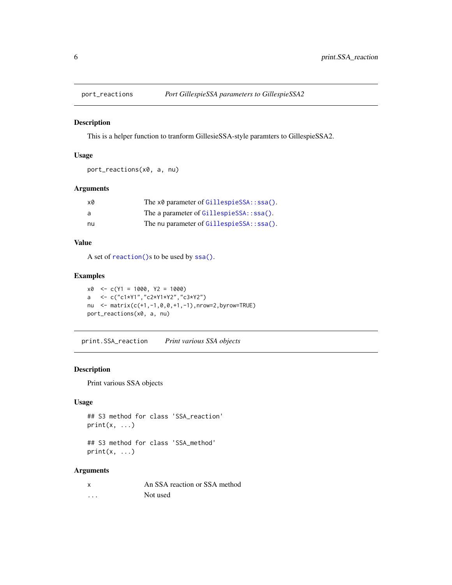<span id="page-5-0"></span>

This is a helper function to tranform GillesieSSA-style paramters to GillespieSSA2.

#### Usage

```
port_reactions(x0, a, nu)
```
#### Arguments

| x0 | The x0 parameter of GillespieSSA: : ssa(). |
|----|--------------------------------------------|
| a  | The a parameter of GillespieSSA:: ssa().   |
| nu | The nu parameter of GillespieSSA: : ssa(). |

#### Value

A set of [reaction\(\)](#page-6-1)s to be used by [ssa\(\)](#page-7-1).

#### Examples

```
x0 \leq -c(Y1 = 1000, Y2 = 1000)a <- c("c1*Y1","c2*Y1*Y2","c3*Y2")
nu <- matrix(c(+1,-1,0,0,+1,-1),nrow=2,byrow=TRUE)
port_reactions(x0, a, nu)
```
print.SSA\_reaction *Print various SSA objects*

#### Description

Print various SSA objects

#### Usage

```
## S3 method for class 'SSA_reaction'
print(x, \ldots)
```
## S3 method for class 'SSA\_method'  $print(x, \ldots)$ 

|          | An SSA reaction or SSA method |
|----------|-------------------------------|
| $\cdots$ | Not used                      |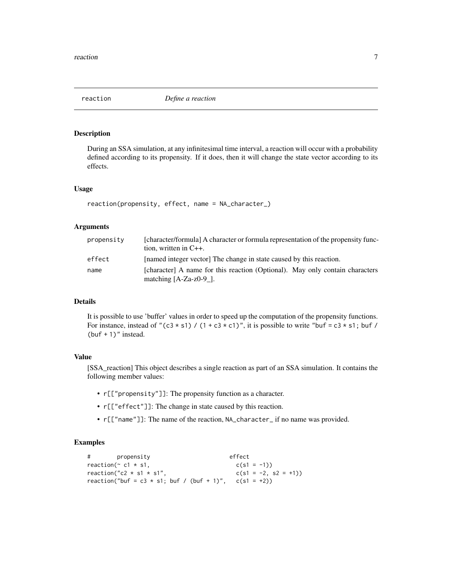<span id="page-6-1"></span><span id="page-6-0"></span>

During an SSA simulation, at any infinitesimal time interval, a reaction will occur with a probability defined according to its propensity. If it does, then it will change the state vector according to its effects.

#### Usage

```
reaction(propensity, effect, name = NA_character_)
```
#### **Arguments**

| propensity | [character/formula] A character or formula representation of the propensity func-<br>tion, written in $C_{++}$ . |
|------------|------------------------------------------------------------------------------------------------------------------|
| effect     | [named integer vector] The change in state caused by this reaction.                                              |
| name       | [character] A name for this reaction (Optional). May only contain characters                                     |
|            | matching $[A-Za-z0-9]$ .                                                                                         |

#### Details

It is possible to use 'buffer' values in order to speed up the computation of the propensity functions. For instance, instead of "(c3  $\star$  s1) / (1 + c3  $\star$  c1)", it is possible to write "buf = c3  $\star$  s1; buf /  $(buf + 1)$ " instead.

#### Value

[SSA\_reaction] This object describes a single reaction as part of an SSA simulation. It contains the following member values:

- r[["propensity"]]: The propensity function as a character.
- r[["effect"]]: The change in state caused by this reaction.
- r[["name"]]: The name of the reaction, NA\_character\_ if no name was provided.

#### Examples

```
# propensity effect
reaction(\sim c1 \times s1, c(s1 = -1))
reaction("c2 * s1 * s1", c(s1 = -2, s2 = +1))
reaction("c2 * s1 * s1", c(s1 = -2, :<br>reaction("buf = c3 * s1; buf / (buf + 1)", c(s1 = +2))
```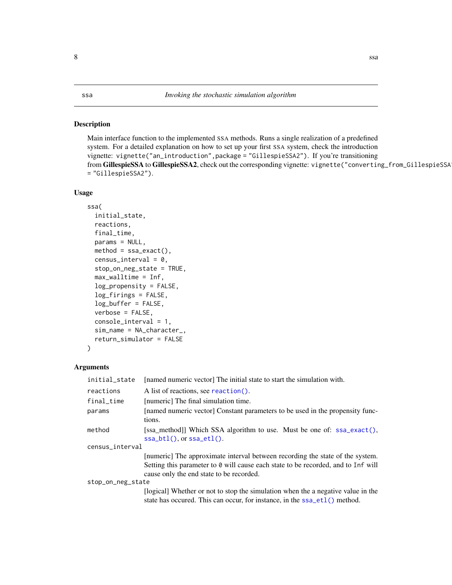<span id="page-7-1"></span><span id="page-7-0"></span>Main interface function to the implemented SSA methods. Runs a single realization of a predefined system. For a detailed explanation on how to set up your first SSA system, check the introduction vignette: vignette("an\_introduction", package = "GillespieSSA2"). If you're transitioning from GillespieSSA to GillespieSSA2, check out the corresponding vignette: vignette("converting\_from\_GillespieSSA = "GillespieSSA2").

#### Usage

```
ssa(
  initial_state,
  reactions,
  final_time,
  params = NULL,
 method = ssa\_exact(),
  census_interval = 0,
  stop_on_neg_state = TRUE,
  max_walltime = Inf,
  log_propensity = FALSE,
  log_firings = FALSE,
  log_buffer = FALSE,
  verbose = FALSE,
  console_interval = 1,
  sim_name = NA_character_,
  return_simulator = FALSE
)
```

| initial_state     | [named numeric vector] The initial state to start the simulation with.                                                                                                                                         |  |
|-------------------|----------------------------------------------------------------------------------------------------------------------------------------------------------------------------------------------------------------|--|
| reactions         | A list of reactions, see reaction().                                                                                                                                                                           |  |
| final_time        | [numeric] The final simulation time.                                                                                                                                                                           |  |
| params            | [named numeric vector] Constant parameters to be used in the propensity func-<br>tions.                                                                                                                        |  |
| method            | [ssa_method]] Which SSA algorithm to use. Must be one of: $ssa\_exact()$ ,<br>$ssa_btl()$ , or $ssa_etl()$ .                                                                                                   |  |
| census_interval   |                                                                                                                                                                                                                |  |
|                   | [numeric] The approximate interval between recording the state of the system.<br>Setting this parameter to 0 will cause each state to be recorded, and to Inf will<br>cause only the end state to be recorded. |  |
| stop_on_neg_state |                                                                                                                                                                                                                |  |
|                   | [logical] Whether or not to stop the simulation when the a negative value in the<br>state has occurred. This can occur, for instance, in the ssa_et1() method.                                                 |  |
|                   |                                                                                                                                                                                                                |  |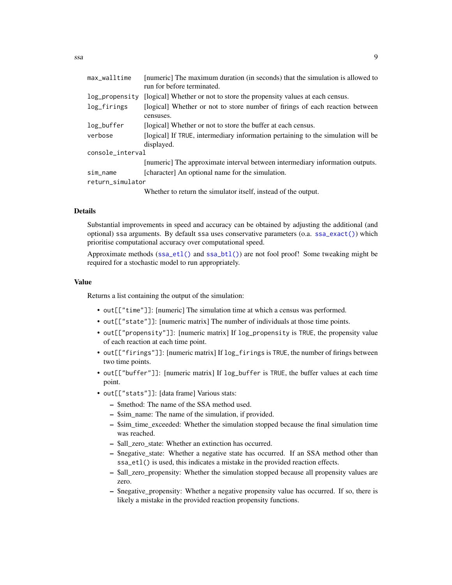<span id="page-8-0"></span>max\_walltime [numeric] The maximum duration (in seconds) that the simulation is allowed to run for before terminated. log\_propensity [logical] Whether or not to store the propensity values at each census. log\_firings [logical] Whether or not to store number of firings of each reaction between censuses. log\_buffer [logical] Whether or not to store the buffer at each census. verbose [logical] If TRUE, intermediary information pertaining to the simulation will be displayed. console\_interval [numeric] The approximate interval between intermediary information outputs. sim\_name [character] An optional name for the simulation. return\_simulator Whether to return the simulator itself, instead of the output.

#### Details

Substantial improvements in speed and accuracy can be obtained by adjusting the additional (and optional) ssa arguments. By default ssa uses conservative parameters (o.a. [ssa\\_exact\(\)](#page-11-1)) which prioritise computational accuracy over computational speed.

Approximate methods ([ssa\\_etl\(\)](#page-10-1) and [ssa\\_btl\(\)](#page-9-1)) are not fool proof! Some tweaking might be required for a stochastic model to run appropriately.

#### Value

Returns a list containing the output of the simulation:

- out[["time"]]: [numeric] The simulation time at which a census was performed.
- out[["state"]]: [numeric matrix] The number of individuals at those time points.
- out[["propensity"]]: [numeric matrix] If log\_propensity is TRUE, the propensity value of each reaction at each time point.
- out [["firings"]]: [numeric matrix] If  $log_f$  irings is TRUE, the number of firings between two time points.
- out[["buffer"]]: [numeric matrix] If log\_buffer is TRUE, the buffer values at each time point.
- out[["stats"]]: [data frame] Various stats:
	- \$method: The name of the SSA method used.
	- \$sim\_name: The name of the simulation, if provided.
	- \$sim\_time\_exceeded: Whether the simulation stopped because the final simulation time was reached.
	- \$all\_zero\_state: Whether an extinction has occurred.
	- \$negative\_state: Whether a negative state has occurred. If an SSA method other than ssa\_etl() is used, this indicates a mistake in the provided reaction effects.
	- \$all\_zero\_propensity: Whether the simulation stopped because all propensity values are zero.
	- \$negative\_propensity: Whether a negative propensity value has occurred. If so, there is likely a mistake in the provided reaction propensity functions.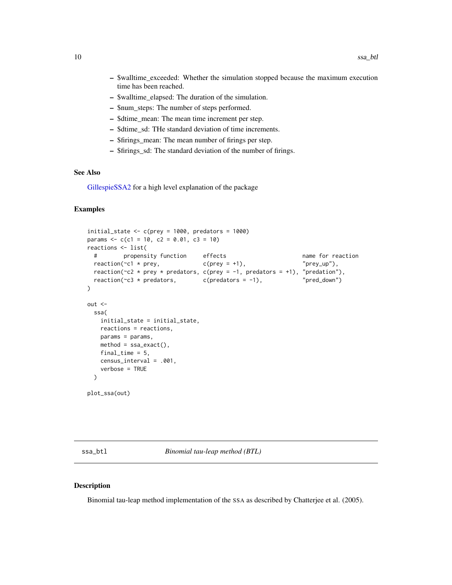- <span id="page-9-0"></span>– \$walltime\_exceeded: Whether the simulation stopped because the maximum execution time has been reached.
- \$walltime\_elapsed: The duration of the simulation.
- \$num\_steps: The number of steps performed.
- \$dtime\_mean: The mean time increment per step.
- \$dtime\_sd: THe standard deviation of time increments.
- \$firings\_mean: The mean number of firings per step.
- \$firings\_sd: The standard deviation of the number of firings.

#### See Also

[GillespieSSA2](#page-2-1) for a high level explanation of the package

#### Examples

```
initial\_state \leftarrow c(prey = 1000, predators = 1000)params <-c(c1 = 10, c2 = 0.01, c3 = 10)reactions <- list(
  # propensity function effects name for reaction
  reaction(\sim c1 \times prey, c(prey = +1), "prey_up"),
  reaction(\text{~c2} \times \text{prey} \times \text{predators}, \text{~c(prey = -1, predators = +1), "predation"),\n  reaction(<math>\text{~c3} \times \text{predators}, \text{~c(predators = -1)}, \text{ } \text{ } \text{} \text{pred-down"})
  reaction(-c3 * predators, c(predators = -1),
)
out <-
  ssa(
    initial_state = initial_state,
    reactions = reactions,
    params = params,
    method = ssa\_exact(),
    final_time = 5,
    census_interval = .001,
     verbose = TRUE
  )
plot_ssa(out)
```
<span id="page-9-1"></span>ssa\_btl *Binomial tau-leap method (BTL)*

#### Description

Binomial tau-leap method implementation of the SSA as described by Chatterjee et al. (2005).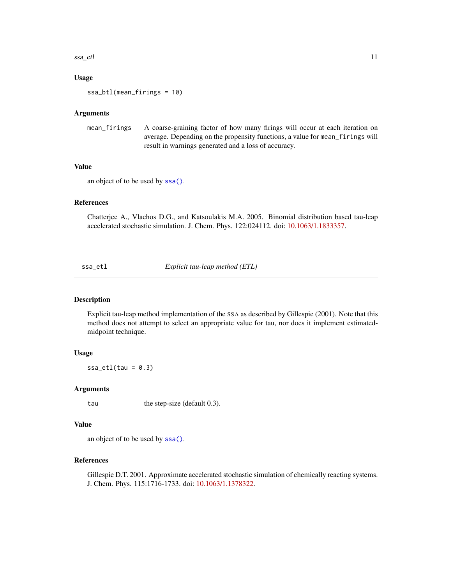<span id="page-10-0"></span>ssa\_etl 11

#### Usage

ssa\_btl(mean\_firings = 10)

#### Arguments

```
mean_firings A coarse-graining factor of how many firings will occur at each iteration on
                  average. Depending on the propensity functions, a value for mean_firings will
                  result in warnings generated and a loss of accuracy.
```
#### Value

```
an object of to be used by ssa().
```
#### References

Chatterjee A., Vlachos D.G., and Katsoulakis M.A. 2005. Binomial distribution based tau-leap accelerated stochastic simulation. J. Chem. Phys. 122:024112. doi: [10.1063/1.1833357.](https://doi.org/10.1063/1.1833357)

<span id="page-10-1"></span>ssa\_etl *Explicit tau-leap method (ETL)*

#### Description

Explicit tau-leap method implementation of the SSA as described by Gillespie (2001). Note that this method does not attempt to select an appropriate value for tau, nor does it implement estimatedmidpoint technique.

#### Usage

 $ssa\_etl(tau = 0.3)$ 

#### Arguments

tau the step-size (default 0.3).

#### Value

an object of to be used by [ssa\(\)](#page-7-1).

#### References

Gillespie D.T. 2001. Approximate accelerated stochastic simulation of chemically reacting systems. J. Chem. Phys. 115:1716-1733. doi: [10.1063/1.1378322.](https://doi.org/10.1063/1.1378322)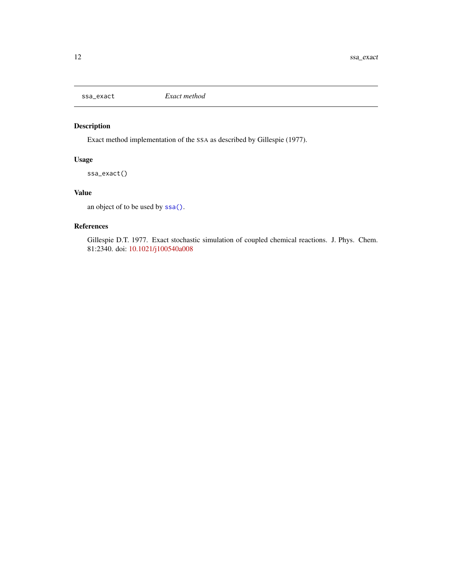<span id="page-11-1"></span><span id="page-11-0"></span>

Exact method implementation of the SSA as described by Gillespie (1977).

## Usage

ssa\_exact()

#### Value

an object of to be used by [ssa\(\)](#page-7-1).

#### References

Gillespie D.T. 1977. Exact stochastic simulation of coupled chemical reactions. J. Phys. Chem. 81:2340. doi: [10.1021/j100540a008](https://doi.org/10.1021/j100540a008)